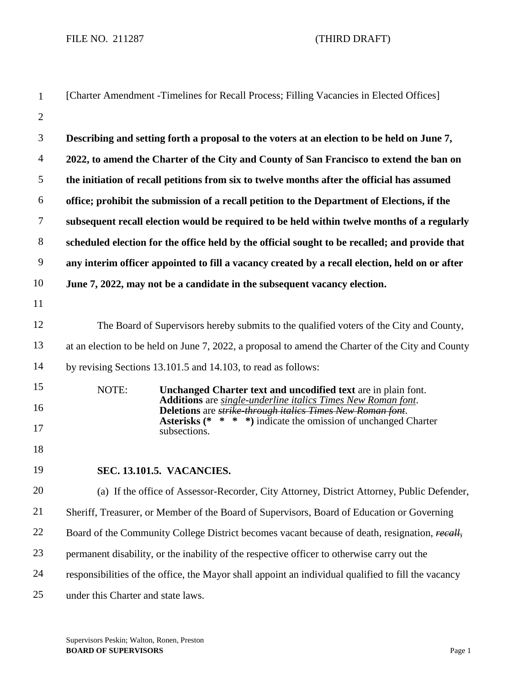FILE NO. 211287 (THIRD DRAFT)

| $\mathbf{1}$   | [Charter Amendment -Timelines for Recall Process; Filling Vacancies in Elected Offices]                                                |
|----------------|----------------------------------------------------------------------------------------------------------------------------------------|
| $\mathbf{2}$   |                                                                                                                                        |
| 3              | Describing and setting forth a proposal to the voters at an election to be held on June 7,                                             |
| $\overline{4}$ | 2022, to amend the Charter of the City and County of San Francisco to extend the ban on                                                |
| 5              | the initiation of recall petitions from six to twelve months after the official has assumed                                            |
| 6              | office; prohibit the submission of a recall petition to the Department of Elections, if the                                            |
| $\tau$         | subsequent recall election would be required to be held within twelve months of a regularly                                            |
| $8\,$          | scheduled election for the office held by the official sought to be recalled; and provide that                                         |
| 9              | any interim officer appointed to fill a vacancy created by a recall election, held on or after                                         |
| 10             | June 7, 2022, may not be a candidate in the subsequent vacancy election.                                                               |
| 11             |                                                                                                                                        |
| 12             | The Board of Supervisors hereby submits to the qualified voters of the City and County,                                                |
| 13             | at an election to be held on June 7, 2022, a proposal to amend the Charter of the City and County                                      |
| 14             | by revising Sections 13.101.5 and 14.103, to read as follows:                                                                          |
| 15             | NOTE:<br>Unchanged Charter text and uncodified text are in plain font.<br>Additions are single-underline italics Times New Roman font. |
| 16             | Deletions are strike through italies Times New Roman font.<br><b>Asterisks</b> (* * * *) indicate the omission of unchanged Charter    |
| 17             | subsections.                                                                                                                           |
| 18             |                                                                                                                                        |
| 19             | <b>SEC. 13.101.5. VACANCIES.</b>                                                                                                       |
| 20             | (a) If the office of Assessor-Recorder, City Attorney, District Attorney, Public Defender,                                             |
| 21             | Sheriff, Treasurer, or Member of the Board of Supervisors, Board of Education or Governing                                             |
| 22             | Board of the Community College District becomes vacant because of death, resignation, recall,                                          |
| 23             | permanent disability, or the inability of the respective officer to otherwise carry out the                                            |
| 24             | responsibilities of the office, the Mayor shall appoint an individual qualified to fill the vacancy                                    |
| 25             | under this Charter and state laws.                                                                                                     |

Supervisors Peskin; Walton, Ronen, Preston **BOARD OF SUPERVISORS** Page 1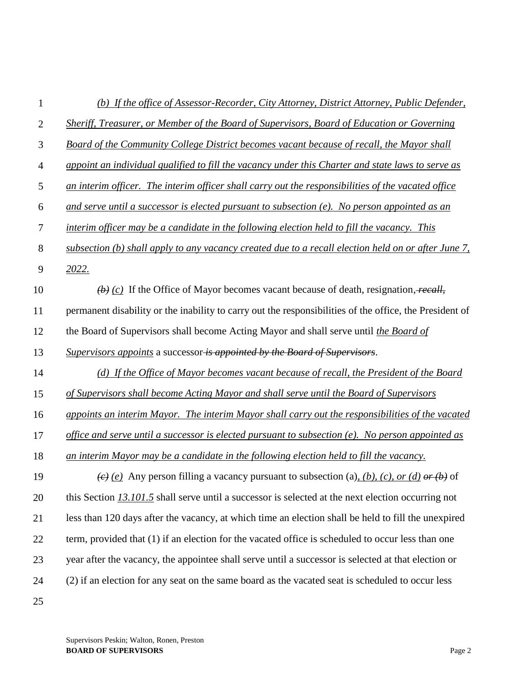| 1              | (b) If the office of Assessor-Recorder, City Attorney, District Attorney, Public Defender,               |
|----------------|----------------------------------------------------------------------------------------------------------|
| $\overline{2}$ | Sheriff, Treasurer, or Member of the Board of Supervisors, Board of Education or Governing               |
| 3              | Board of the Community College District becomes vacant because of recall, the Mayor shall                |
| $\overline{4}$ | appoint an individual qualified to fill the vacancy under this Charter and state laws to serve as        |
| 5              | an interim officer. The interim officer shall carry out the responsibilities of the vacated office       |
| 6              | and serve until a successor is elected pursuant to subsection $(e)$ . No person appointed as an          |
| $\tau$         | interim officer may be a candidate in the following election held to fill the vacancy. This              |
| $8\,$          | subsection (b) shall apply to any vacancy created due to a recall election held on or after June 7,      |
| 9              | 2022.                                                                                                    |
| 10             | $\overline{(b)}$ (c) If the Office of Mayor becomes vacant because of death, resignation, recall,        |
| 11             | permanent disability or the inability to carry out the responsibilities of the office, the President of  |
| 12             | the Board of Supervisors shall become Acting Mayor and shall serve until the Board of                    |
| 13             | Supervisors appoints a successor is appointed by the Board of Supervisors.                               |
| 14             | (d) If the Office of Mayor becomes vacant because of recall, the President of the Board                  |
| 15             | of Supervisors shall become Acting Mayor and shall serve until the Board of Supervisors                  |
| 16             | appoints an interim Mayor. The interim Mayor shall carry out the responsibilities of the vacated         |
| 17             | office and serve until a successor is elected pursuant to subsection $(e)$ . No person appointed as      |
| 18             | an interim Mayor may be a candidate in the following election held to fill the vacancy.                  |
| 19             | $\overline{(e)}$ (e) Any person filling a vacancy pursuant to subsection (a), (b), (c), or (d) or (b) of |
| 20             | this Section 13.101.5 shall serve until a successor is selected at the next election occurring not       |
| 21             | less than 120 days after the vacancy, at which time an election shall be held to fill the unexpired      |
| 22             | term, provided that (1) if an election for the vacated office is scheduled to occur less than one        |
| 23             | year after the vacancy, the appointee shall serve until a successor is selected at that election or      |
| 24             | (2) if an election for any seat on the same board as the vacated seat is scheduled to occur less         |
| 25             |                                                                                                          |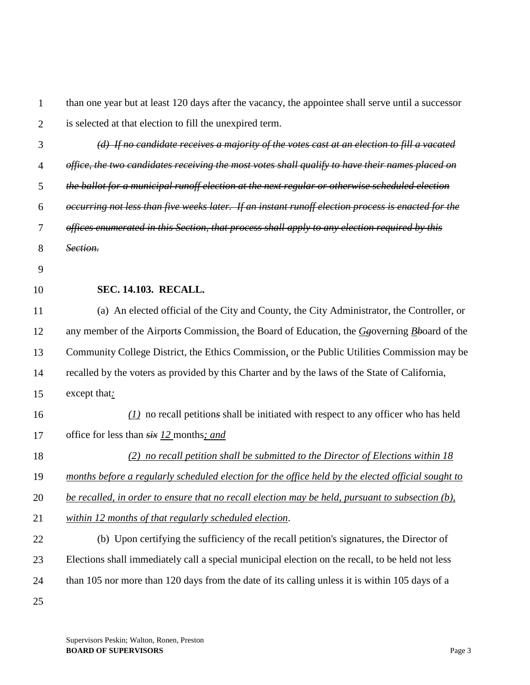2 3 4 5 6 7 8 9 10 11 12 13 14 15 than one year but at least 120 days after the vacancy, the appointee shall serve until a successor is selected at that election to fill the unexpired term. *(d) If no candidate receives a majority of the votes cast at an election to fill a vacated office, the two candidates receiving the most votes shall qualify to have their names placed on the ballot for a municipal runoff election at the next regular or otherwise scheduled election occurring not less than five weeks later. If an instant runoff election process is enacted for the offices enumerated in this Section, that process shall apply to any election required by this Section.* **SEC. 14.103. RECALL.** (a) An elected official of the City and County, the City Administrator, the Controller, or any member of the Airport*s* Commission*,* the Board of Education, the *Gg*overning *Bb*oard of the Community College District, the Ethics Commission*,* or the Public Utilities Commission may be recalled by the voters as provided by this Charter and by the laws of the State of California, except that*:*

16 17 *(1)* no recall petition*s* shall be initiated with respect to any officer who has held office for less than *six 12* months*; and*

- 18 *(2) no recall petition shall be submitted to the Director of Elections within 18*
- 19 *months before a regularly scheduled election for the office held by the elected official sought to*

20 *be recalled, in order to ensure that no recall election may be held, pursuant to subsection (b),* 

21 *within 12 months of that regularly scheduled election*.

22 23 24 25 (b) Upon certifying the sufficiency of the recall petition's signatures, the Director of Elections shall immediately call a special municipal election on the recall, to be held not less than 105 nor more than 120 days from the date of its calling unless it is within 105 days of a

1